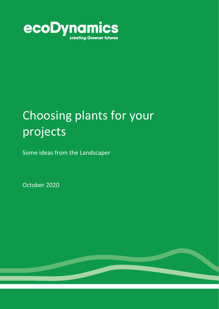

# Choosing plants for your projects

Some ideas from the Landscaper

October 2020

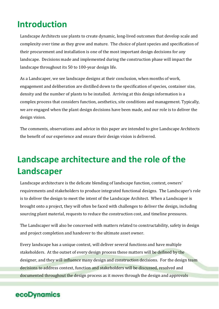# **Introduction**

Landscape Architects use plants to create dynamic, long-lived outcomes that develop scale and complexity over time as they grow and mature. The choice of plant species and specification of their procurement and installation is one of the most important design decisions for any landscape. Decisions made and implemented during the construction phase will impact the landscape throughout its 50 to 100-year design life.

As a Landscaper, we see landscape designs at their conclusion, when months of work, engagement and deliberation are distilled down to the specification of species, container size, density and the number of plants to be installed. Arriving at this design information is a complex process that considers function, aesthetics, site conditions and management. Typically, we are engaged when the plant design decisions have been made, and our role is to deliver the design vision.

The comments, observations and advice in this paper are intended to give Landscape Architects the benefit of our experience and ensure their design vision is delivered.

# **Landscape architecture and the role of the Landscaper**

Landscape architecture is the delicate blending of landscape function, context, owners' requirements and stakeholders to produce integrated functional designs. The Landscaper's role is to deliver the design to meet the intent of the Landscape Architect. When a Landscaper is brought onto a project, they will often be faced with challenges to deliver the design, including sourcing plant material, requests to reduce the construction cost, and timeline pressures.

The Landscaper will also be concerned with matters related to constructability, safety in design and project completion and handover to the ultimate asset owner.

Every landscape has a unique context, will deliver several functions and have multiple stakeholders. At the outset of every design process these matters will be defined by the designer, and they will influence many design and construction decisions. For the design team decisions to address context, function and stakeholders will be discussed, resolved and documented throughout the design process as it moves through the design and approvals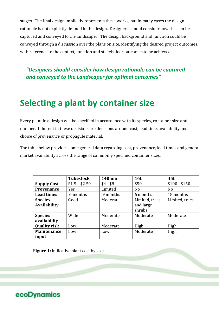stages. The final design implicitly represents these works, but in many cases the design rationale is not explicitly defined in the design. Designers should consider how this can be captured and conveyed to the landscaper. The design background and function could be conveyed through a discussion over the plans on site, identifying the desired project outcomes, with reference to the context, function and stakeholder outcomes to be achieved.

*"Designers should consider how design rationale can be captured and conveyed to the Landscaper for optimal outcomes"*

# **Selecting a plant by container size**

Every plant in a design will be specified in accordance with its species, container size and number. Inherent in these decisions are decisions around cost, lead time, availability and choice of provenance or propagule material.

The table below provides some general data regarding cost, provenance, lead times and general market availability across the range of commonly specified container sizes.

|                     | <b>Tubestock</b> | <b>140mm</b> | <b>16L</b>     | 45L            |
|---------------------|------------------|--------------|----------------|----------------|
| <b>Supply Cost</b>  | $$1.5 - $2.50$   | $$4 - $8$    | \$50           | $$100 - $150$  |
| <b>Provenance</b>   | Yes              | Limited      | N <sub>o</sub> | N <sub>0</sub> |
| <b>Lead times</b>   | 6 months         | 9 months     | 6 months       | 18 months      |
| <b>Species</b>      | Good             | Moderate     | Limited, trees | Limited, trees |
| <b>Availability</b> |                  |              | and large      |                |
|                     |                  |              | shrubs         |                |
| <b>Species</b>      | Wide             | Moderate     | Moderate       | Moderate       |
| availability        |                  |              |                |                |
| <b>Quality risk</b> | Low              | Moderate     | High           | High           |
| <b>Maintenance</b>  | Low              | Low          | Moderate       | High           |
| input               |                  |              |                |                |

**Figure 1:** indicative plant cost by size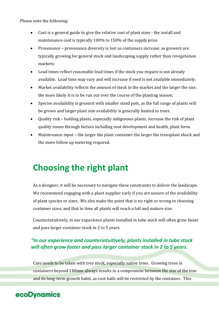Please note the following:

- Cost is a general guide to give the relative cost of plant sizes the install and maintenance cost is typically 100% to 150% of the supply price
- Provenance provenance diversity is lost as containers increase, as growers are typically growing for general stock and landscaping supply rather than revegetation markets;
- Lead times reflect reasonable lead times if the stock you require is not already available. Lead time may vary and will increase if seed is not available immediately;
- Market availability reflects the amount of stock in the market and the larger the size, the more likely it is to be run out over the course of the planting season;
- Species availability is greatest with smaller sized pots, as the full range of plants will be grown and larger plant size availability is generally limited to trees.
- Quality risk holding plants, especially indigenous plants, increase the risk of plant quality issues through factors including root development and health, plant form.
- Maintenance input the larger the plant container the larger the transplant shock and the more follow up watering required.

# **Choosing the right plant**

As a designer, it will be necessary to navigate these constraints to deliver the landscape. We recommend engaging with a plant supplier early if you are unsure of the availability of plant species or sizes. We also make the point that is no right or wrong in choosing container sizes, and that in time all plants will reach a full and mature size.

Counterintuitively, in our experience plants installed in tube stock will often grow faster and pass larger container stock in 2 to 5 years.

#### *"In our experience and counterintuitively, plants installed in tube stock will often grow faster and pass larger container stock in 2 to 5 years.*

Care needs to be taken with tree stock, especially native trees. Growing trees in containers beyond 140mm always results in a compromise between the size of the tree and its long-term growth habit, as root balls will be restricted by the container. This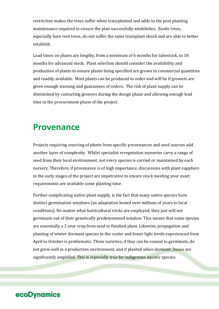restriction makes the trees suffer when transplanted and adds to the post planting maintenance required to ensure the plan successfully establishes. Exotic trees, especially bare root trees, do not suffer the same transplant shock and are able to better establish.

Lead times on plants are lengthy, from a minimum of 6 months for tubestock, to 18 months for advanced stock. Plant selection should consider the availability and production of plants to ensure plants being specified are grown in commercial quantities and readily available. Most plants can be produced to order and will be if growers are given enough warning and guarantees of orders. The risk of plant supply can be diminished by contacting growers during the design phase and allowing enough lead time in the procurement phase of the project.

### **Provenance**

Projects requiring sourcing of plants from specific provenances and seed sources add another layer of complexity. Whilst specialist revegetation nurseries carry a range of seed from their local environment, not every species is carried or maintained by each nursery. Therefore, if provenance is of high importance, discussions with plant suppliers in the early stages of the project are impetrative to ensure stock meeting your exact requirements are available come planting time.

Further complicating native plant supply, is the fact that many native species have distinct germination windows (an adaptation honed over millions of years to local conditions). No matter what horticultural tricks are employed, they just will not germinate out of their genetically predetermined window. This means that some species are essentially a 2 year crop from seed to finished plant. Likewise, propagation and planting of winter dormant species in the cooler and lower light levels experienced from April to October is problematic. These varieties, if they can be coaxed to germinate, do not grow well in a production environment, and if planted when dormant, losses are significantly amplified. This is especially true for indigenous aquatic species.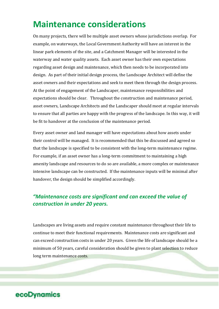# **Maintenance considerations**

On many projects, there will be multiple asset owners whose jurisdictions overlap. For example, on waterways, the Local Government Authority will have an interest in the linear park elements of the site, and a Catchment Manager will be interested in the waterway and water quality assets. Each asset owner has their own expectations regarding asset design and maintenance, which then needs to be incorporated into design. As part of their initial design process, the Landscape Architect will define the asset owners and their expectations and seek to meet them through the design process. At the point of engagement of the Landscaper, maintenance responsibilities and expectations should be clear. Throughout the construction and maintenance period, asset owners, Landscape Architects and the Landscaper should meet at regular intervals to ensure that all parties are happy with the progress of the landscape. In this way, it will be fit to handover at the conclusion of the maintenance period.

Every asset owner and land manager will have expectations about how assets under their control will be managed. It is recommended that this be discussed and agreed so that the landscape is specified to be consistent with the long-term maintenance regime. For example, if an asset owner has a long-term commitment to maintaining a high amenity landscape and resources to do so are available, a more complex or maintenance intensive landscape can be constructed. If the maintenance inputs will be minimal after handover, the design should be simplified accordingly.

#### *"Maintenance costs are significant and can exceed the value of construction in under 20 years.*

Landscapes are living assets and require constant maintenance throughout their life to continue to meet their functional requirements. Maintenance costs are significant and can exceed construction costs in under 20 years. Given the life of landscape should be a minimum of 50 years, careful consideration should be given to plant selection to reduce long term maintenance costs.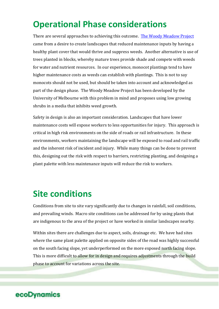# **Operational Phase considerations**

There are several approaches to achieving this outcome. The Woody Meadow Project came from a desire to create landscapes that reduced maintenance inputs by having a healthy plant cover that would thrive and suppress weeds. Another alternative is use of trees planted in blocks, whereby mature trees provide shade and compete with weeds for water and nutrient resources. In our experience, monocot plantings tend to have higher maintenance costs as weeds can establish with plantings. This is not to say monocots should not be used, but should be taken into account and acknowledged as part of the design phase. The Woody Meadow Project has been developed by the University of Melbourne with this problem in mind and proposes using low growing shrubs in a media that inhibits weed growth.

Safety in design is also an important consideration. Landscapes that have lower maintenance costs will expose workers to less opportunities for injury. This approach is critical in high risk environments on the side of roads or rail infrastructure. In these environments, workers maintaining the landscape will be exposed to road and rail traffic and the inherent risk of incident and injury. While many things can be done to prevent this, designing out the risk with respect to barriers, restricting planting, and designing a plant palette with less maintenance inputs will reduce the risk to workers.

# **Site conditions**

Conditions from site to site vary significantly due to changes in rainfall, soil conditions, and prevailing winds. Macro site conditions can be addressed for by using plants that are indigenous to the area of the project or have worked in similar landscapes nearby.

Within sites there are challenges due to aspect, soils, drainage etc. We have had sites where the same plant palette applied on opposite sides of the road was highly successful on the south facing slope, yet underperformed on the more exposed north facing slope. This is more difficult to allow for in design and requires adjustments through the build phase to account for variations across the site.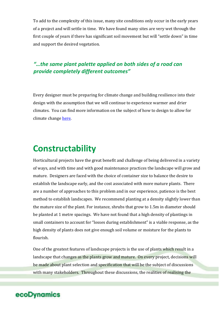To add to the complexity of this issue, many site conditions only occur in the early years of a project and will settle in time. We have found many sites are very wet through the first couple of years if there has significant soil movement but will "settle down" in time and support the desired vegetation.

#### *"…the same plant palette applied on both sides of a road can provide completely different outcomes"*

Every designer must be preparing for climate change and building resilience into their design with the assumption that we will continue to experience warmer and drier climates. You can find more information on the subject of how to design to allow for climate change here.

# **Constructability**

Horticultural projects have the great benefit and challenge of being delivered in a variety of ways, and with time and with good maintenance practices the landscape will grow and mature. Designers are faced with the choice of container size to balance the desire to establish the landscape early, and the cost associated with more mature plants. There are a number of approaches to this problem and in our experience, patience is the best method to establish landscapes. We recommend planting at a density slightly lower than the mature size of the plant. For instance, shrubs that grow to 1.5m in diameter should be planted at 1 metre spacings. We have not found that a high density of plantings in small containers to account for "losses during establishment" is a viable response, as the high density of plants does not give enough soil volume or moisture for the plants to flourish.

One of the greatest features of landscape projects is the use of plants which result in a landscape that changes as the plants grow and mature. On every project, decisions will be made about plant selection and specification that will be the subject of discussions with many stakeholders. Throughout these discussions, the realities of realising the